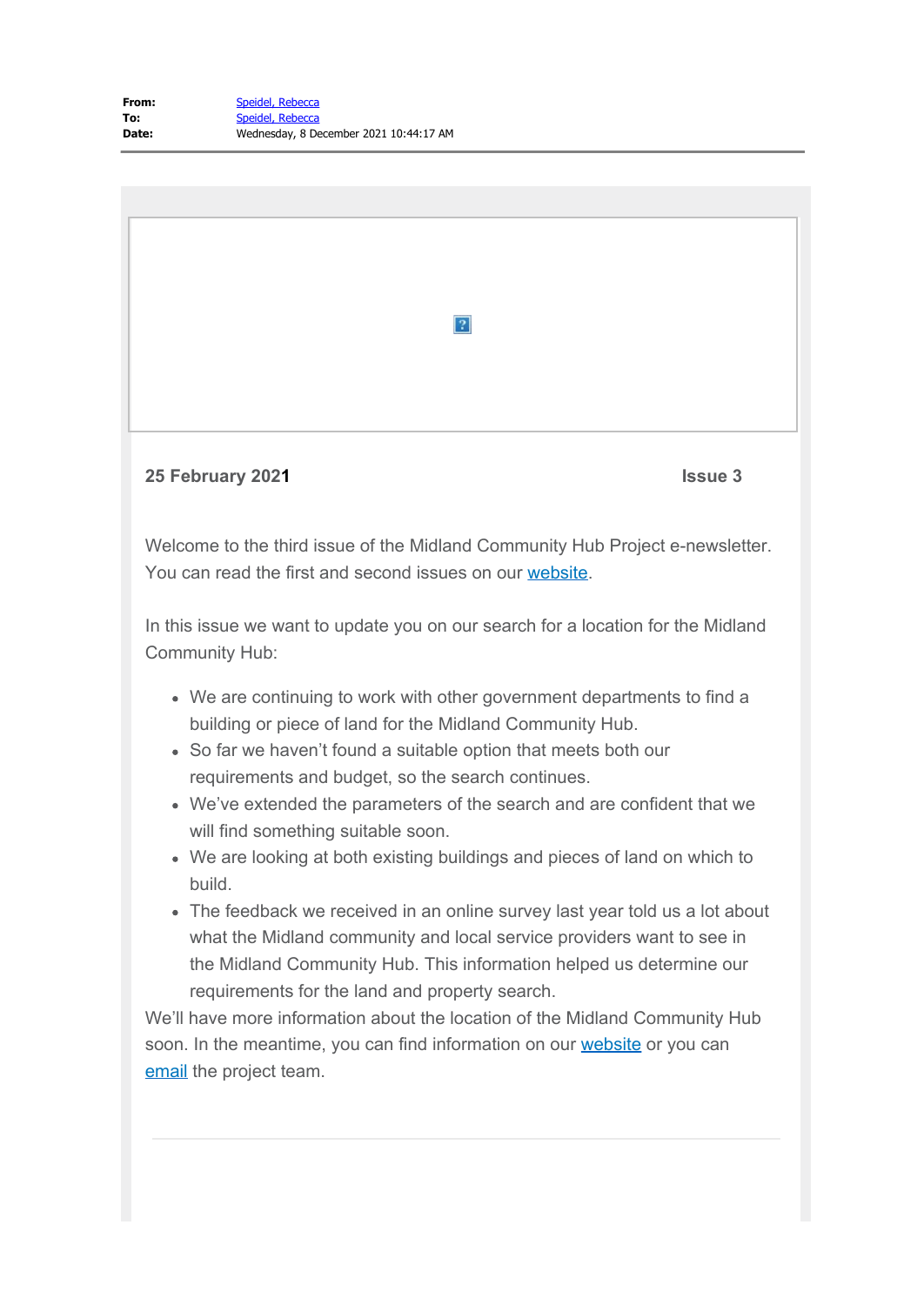

- We are continuing to work with other government departments to find a building or piece of land for the Midland Community Hub.
- So far we haven't found a suitable option that meets both our requirements and budget, so the search continues.
- We've extended the parameters of the search and are confident that we will find something suitable soon.
- We are looking at both existing buildings and pieces of land on which to build.
- The feedback we received in an online survey last year told us a lot about what the Midland community and local service providers want to see in the Midland Community Hub. This information helped us determine our requirements for the land and property search.

We'll have more information about the location of the Midland Community Hub soon. In the meantime, you can find information on our [website](https://www.cahs.health.wa.gov.au/Our-services/Midland-Community-Health-Hub) or you can [email](mailto:CAHS.communityhubs@health.wa.gov.au) the project team.